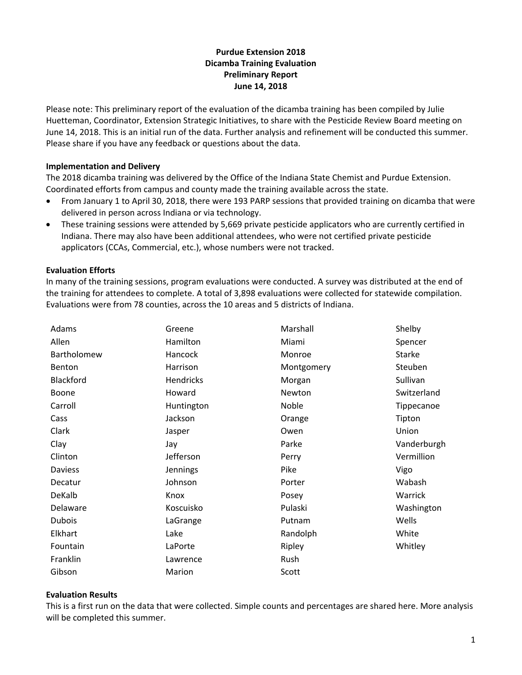## **Purdue Extension 2018 Dicamba Training Evaluation Preliminary Report June 14, 2018**

Please note: This preliminary report of the evaluation of the dicamba training has been compiled by Julie Huetteman, Coordinator, Extension Strategic Initiatives, to share with the Pesticide Review Board meeting on June 14, 2018. This is an initial run of the data. Further analysis and refinement will be conducted this summer. Please share if you have any feedback or questions about the data.

### **Implementation and Delivery**

The 2018 dicamba training was delivered by the Office of the Indiana State Chemist and Purdue Extension. Coordinated efforts from campus and county made the training available across the state.

- From January 1 to April 30, 2018, there were 193 PARP sessions that provided training on dicamba that were delivered in person across Indiana or via technology.
- These training sessions were attended by 5,669 private pesticide applicators who are currently certified in Indiana. There may also have been additional attendees, who were not certified private pesticide applicators (CCAs, Commercial, etc.), whose numbers were not tracked.

### **Evaluation Efforts**

In many of the training sessions, program evaluations were conducted. A survey was distributed at the end of the training for attendees to complete. A total of 3,898 evaluations were collected for statewide compilation. Evaluations were from 78 counties, across the 10 areas and 5 districts of Indiana.

| Adams         | Greene          | Marshall   | Shelby        |
|---------------|-----------------|------------|---------------|
| Allen         | Hamilton        | Miami      | Spencer       |
| Bartholomew   | Hancock         | Monroe     | <b>Starke</b> |
| Benton        | Harrison        | Montgomery | Steuben       |
| Blackford     | Hendricks       | Morgan     | Sullivan      |
| Boone         | Howard          | Newton     | Switzerland   |
| Carroll       | Huntington      | Noble      | Tippecanoe    |
| Cass          | Jackson         | Orange     | Tipton        |
| Clark         | Jasper          | Owen       | Union         |
| Clay          | Jay             | Parke      | Vanderburgh   |
| Clinton       | Jefferson       | Perry      | Vermillion    |
| Daviess       | <b>Jennings</b> | Pike       | Vigo          |
| Decatur       | Johnson         | Porter     | Wabash        |
| DeKalb        | Knox            | Posey      | Warrick       |
| Delaware      | Koscuisko       | Pulaski    | Washington    |
| <b>Dubois</b> | LaGrange        | Putnam     | Wells         |
| Elkhart       | Lake            | Randolph   | White         |
| Fountain      | LaPorte         | Ripley     | Whitley       |
| Franklin      | Lawrence        | Rush       |               |
| Gibson        | Marion          | Scott      |               |

### **Evaluation Results**

This is a first run on the data that were collected. Simple counts and percentages are shared here. More analysis will be completed this summer.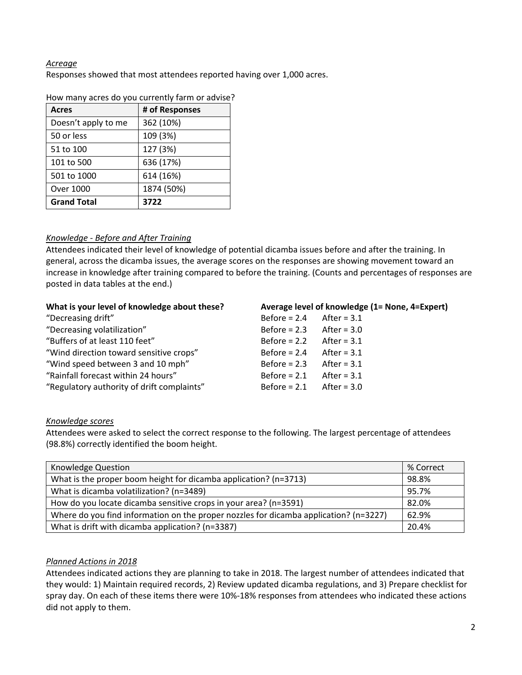## *Acreage*

Responses showed that most attendees reported having over 1,000 acres.

| <b>Acres</b>        | # of Responses |
|---------------------|----------------|
| Doesn't apply to me | 362 (10%)      |
| 50 or less          | 109 (3%)       |
| 51 to 100           | 127 (3%)       |
| 101 to 500          | 636 (17%)      |
| 501 to 1000         | 614 (16%)      |
| Over 1000           | 1874 (50%)     |
| <b>Grand Total</b>  | 3722           |

How many acres do you currently farm or advise?

## *Knowledge ‐ Before and After Training*

Attendees indicated their level of knowledge of potential dicamba issues before and after the training. In general, across the dicamba issues, the average scores on the responses are showing movement toward an increase in knowledge after training compared to before the training. (Counts and percentages of responses are posted in data tables at the end.)

| What is your level of knowledge about these? |                | Average level of knowledge (1= None, 4=Expert) |
|----------------------------------------------|----------------|------------------------------------------------|
| "Decreasing drift"                           | Before $= 2.4$ | After = $3.1$                                  |
| "Decreasing volatilization"                  | Before $= 2.3$ | After = $3.0$                                  |
| "Buffers of at least 110 feet"               | Before $= 2.2$ | After = $3.1$                                  |
| "Wind direction toward sensitive crops"      | Before $= 2.4$ | After = $3.1$                                  |
| "Wind speed between 3 and 10 mph"            | Before $= 2.3$ | After = $3.1$                                  |
| "Rainfall forecast within 24 hours"          | Before $= 2.1$ | After = $3.1$                                  |
| "Regulatory authority of drift complaints"   | Before $= 2.1$ | After = $3.0$                                  |

### *Knowledge scores*

Attendees were asked to select the correct response to the following. The largest percentage of attendees (98.8%) correctly identified the boom height.

| Knowledge Question                                                                    |       |
|---------------------------------------------------------------------------------------|-------|
| What is the proper boom height for dicamba application? (n=3713)                      | 98.8% |
| What is dicamba volatilization? (n=3489)                                              | 95.7% |
| How do you locate dicamba sensitive crops in your area? (n=3591)                      | 82.0% |
| Where do you find information on the proper nozzles for dicamba application? (n=3227) | 62.9% |
| What is drift with dicamba application? (n=3387)                                      | 20.4% |

## *Planned Actions in 2018*

Attendees indicated actions they are planning to take in 2018. The largest number of attendees indicated that they would: 1) Maintain required records, 2) Review updated dicamba regulations, and 3) Prepare checklist for spray day. On each of these items there were 10%-18% responses from attendees who indicated these actions did not apply to them.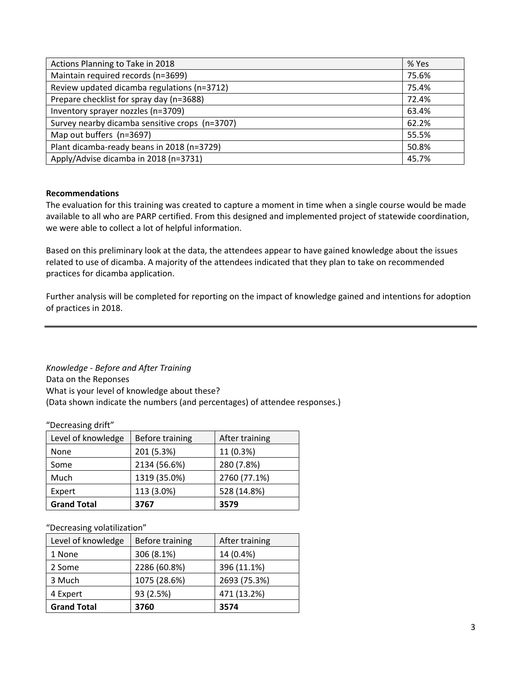| Actions Planning to Take in 2018               | % Yes |
|------------------------------------------------|-------|
| Maintain required records (n=3699)             | 75.6% |
| Review updated dicamba regulations (n=3712)    | 75.4% |
| Prepare checklist for spray day (n=3688)       | 72.4% |
| Inventory sprayer nozzles (n=3709)             | 63.4% |
| Survey nearby dicamba sensitive crops (n=3707) | 62.2% |
| Map out buffers (n=3697)                       | 55.5% |
| Plant dicamba-ready beans in 2018 (n=3729)     | 50.8% |
| Apply/Advise dicamba in 2018 (n=3731)          | 45.7% |

## **Recommendations**

The evaluation for this training was created to capture a moment in time when a single course would be made available to all who are PARP certified. From this designed and implemented project of statewide coordination, we were able to collect a lot of helpful information.

Based on this preliminary look at the data, the attendees appear to have gained knowledge about the issues related to use of dicamba. A majority of the attendees indicated that they plan to take on recommended practices for dicamba application.

Further analysis will be completed for reporting on the impact of knowledge gained and intentions for adoption of practices in 2018.

*Knowledge ‐ Before and After Training* Data on the Reponses What is your level of knowledge about these? (Data shown indicate the numbers (and percentages) of attendee responses.)

"Decreasing drift"

| Level of knowledge | Before training | After training |
|--------------------|-----------------|----------------|
| None               | 201 (5.3%)      | 11 (0.3%)      |
| Some               | 2134 (56.6%)    | 280 (7.8%)     |
| Much               | 1319 (35.0%)    | 2760 (77.1%)   |
| Expert             | 113 (3.0%)      | 528 (14.8%)    |
| <b>Grand Total</b> | 3767            | 3579           |

#### "Decreasing volatilization"

| Level of knowledge | Before training | After training |
|--------------------|-----------------|----------------|
| 1 None             | 306 (8.1%)      | 14 (0.4%)      |
| 2 Some             | 2286 (60.8%)    | 396 (11.1%)    |
| 3 Much             | 1075 (28.6%)    | 2693 (75.3%)   |
| 4 Expert           | 93 (2.5%)       | 471 (13.2%)    |
| <b>Grand Total</b> | 3760            | 3574           |